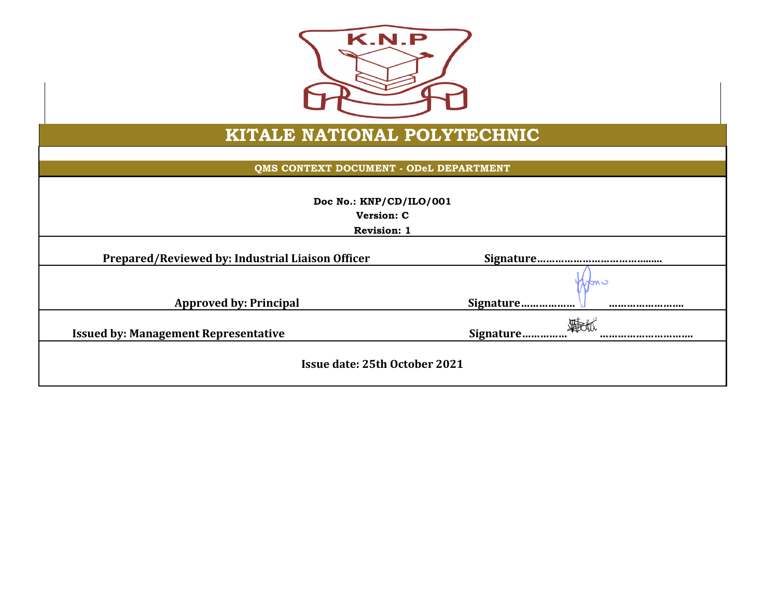

## **KITALE NATIONAL POLYTECHNIC**

**QMS CONTEXT DOCUMENT - ODeL DEPARTMENT**

| Doc No.: KNP/CD/ILO/001<br><b>Version: C</b><br><b>Revision: 1</b> |                     |  |  |  |
|--------------------------------------------------------------------|---------------------|--|--|--|
| Prepared/Reviewed by: Industrial Liaison Officer                   |                     |  |  |  |
| <b>Approved by: Principal</b>                                      | mo<br>Signature<br> |  |  |  |
| <b>Issued by: Management Representative</b>                        | Signature<br>       |  |  |  |
| Issue date: 25th October 2021                                      |                     |  |  |  |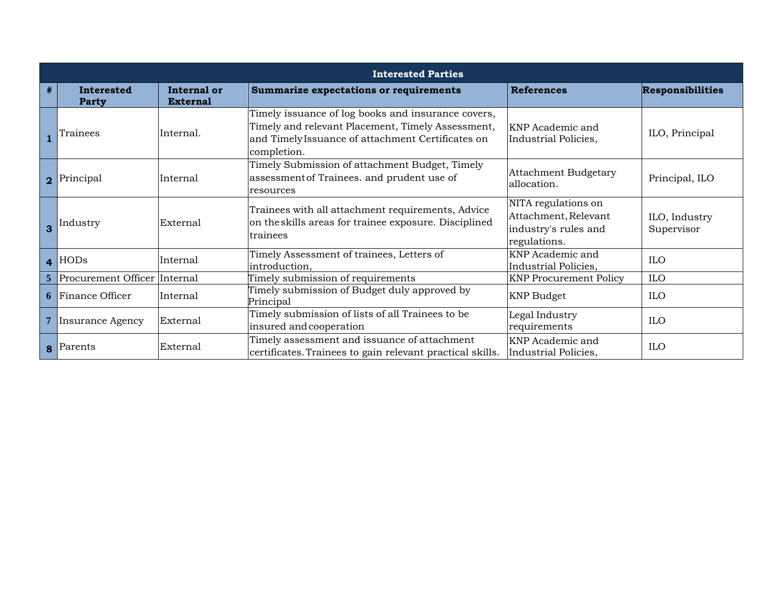|   | <b>Interested Parties</b>      |                                |                                                                                                                                                                             |                                                                                     |                             |
|---|--------------------------------|--------------------------------|-----------------------------------------------------------------------------------------------------------------------------------------------------------------------------|-------------------------------------------------------------------------------------|-----------------------------|
| # | <b>Interested</b><br>Party     | Internal or<br><b>External</b> | Summarize expectations or requirements                                                                                                                                      | <b>References</b>                                                                   | <b>Responsibilities</b>     |
|   | Trainees                       | Internal.                      | Timely issuance of log books and insurance covers,<br>Timely and relevant Placement, Timely Assessment,<br>and Timely Issuance of attachment Certificates on<br>completion. | KNP Academic and<br>Industrial Policies,                                            | ILO, Principal              |
|   | 2 Principal                    | Internal                       | Timely Submission of attachment Budget, Timely<br>assessment of Trainees. and prudent use of<br>resources                                                                   | <b>Attachment Budgetary</b><br>allocation.                                          | Principal, ILO              |
|   | 3 Industry                     | External                       | Trainees with all attachment requirements, Advice<br>on the skills areas for trainee exposure. Disciplined<br>trainees                                                      | NITA regulations on<br>Attachment, Relevant<br>industry's rules and<br>regulations. | ILO, Industry<br>Supervisor |
|   | $\overline{4}$ HODs            | Internal                       | Timely Assessment of trainees, Letters of<br>introduction,                                                                                                                  | <b>KNP</b> Academic and<br>Industrial Policies,                                     | <b>ILO</b>                  |
|   | 5 Procurement Officer Internal |                                | Timely submission of requirements                                                                                                                                           | <b>KNP Procurement Policy</b>                                                       | <b>ILO</b>                  |
|   | <b>6</b> Finance Officer       | Internal                       | Timely submission of Budget duly approved by<br>Principal                                                                                                                   | <b>KNP Budget</b>                                                                   | <b>ILO</b>                  |
|   | 7 Insurance Agency             | External                       | Timely submission of lists of all Trainees to be<br>insured and cooperation                                                                                                 | Legal Industry<br>requirements                                                      | <b>ILO</b>                  |
|   | 8 Parents                      | External                       | Timely assessment and issuance of attachment<br>certificates. Trainees to gain relevant practical skills.                                                                   | KNP Academic and<br>Industrial Policies,                                            | <b>ILO</b>                  |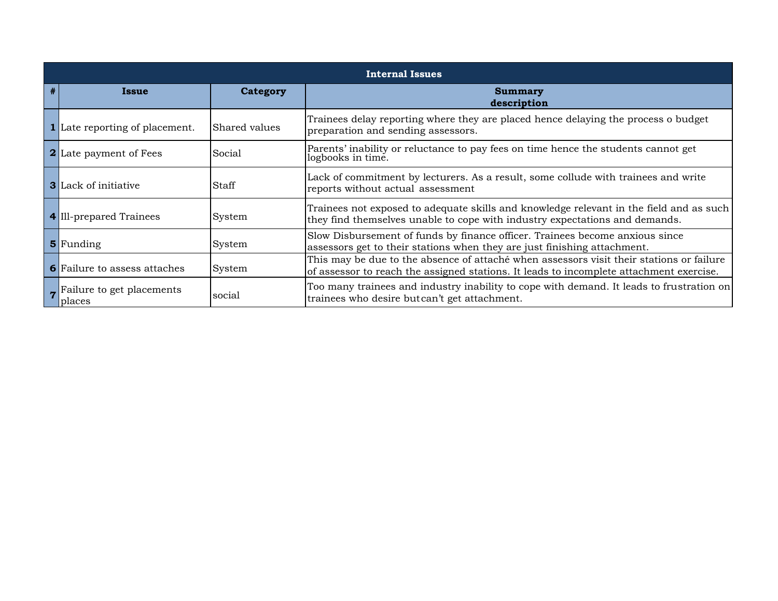|   | <b>Internal Issues</b>                |               |                                                                                                                                                                                     |  |  |
|---|---------------------------------------|---------------|-------------------------------------------------------------------------------------------------------------------------------------------------------------------------------------|--|--|
| # | Issue                                 | Category      | <b>Summary</b><br>description                                                                                                                                                       |  |  |
|   | <b>1</b> Late reporting of placement. | Shared values | Trainees delay reporting where they are placed hence delaying the process o budget<br>preparation and sending assessors.                                                            |  |  |
|   | <b>2</b> Late payment of Fees         | Social        | Parents' inability or reluctance to pay fees on time hence the students cannot get<br>logbooks in time.                                                                             |  |  |
|   | <b>3</b> Lack of initiative           | Staff         | Lack of commitment by lecturers. As a result, some collude with trainees and write<br>reports without actual assessment                                                             |  |  |
|   | 4 Ill-prepared Trainees               | System        | Trainees not exposed to adequate skills and knowledge relevant in the field and as such<br>they find themselves unable to cope with industry expectations and demands.              |  |  |
|   | 5 Funding                             | System        | Slow Disbursement of funds by finance officer. Trainees become anxious since<br>assessors get to their stations when they are just finishing attachment.                            |  |  |
|   | <b>6</b> Failure to assess attaches   | System        | This may be due to the absence of attaché when assessors visit their stations or failure<br>of assessor to reach the assigned stations. It leads to incomplete attachment exercise. |  |  |
|   | 7 Failure to get placements<br>places | social        | Too many trainees and industry inability to cope with demand. It leads to frustration on<br>trainees who desire but can't get attachment.                                           |  |  |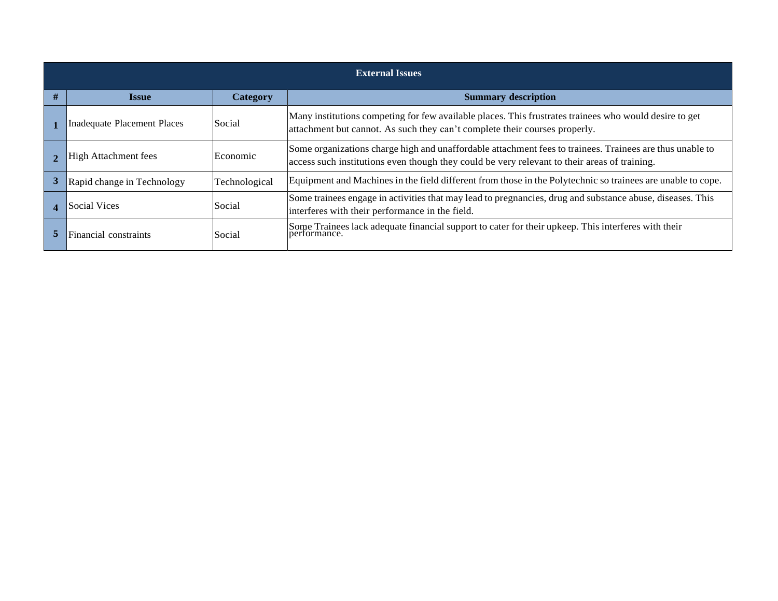|   | <b>External Issues</b>                                                                                                     |                 |                                                                                                                                                                                                          |  |  |
|---|----------------------------------------------------------------------------------------------------------------------------|-----------------|----------------------------------------------------------------------------------------------------------------------------------------------------------------------------------------------------------|--|--|
| # | <b>Issue</b>                                                                                                               | <b>Category</b> | <b>Summary description</b>                                                                                                                                                                               |  |  |
|   | Social<br><b>Inadequate Placement Places</b><br>attachment but cannot. As such they can't complete their courses properly. |                 | Many institutions competing for few available places. This frustrates trainees who would desire to get                                                                                                   |  |  |
|   | <b>High Attachment fees</b>                                                                                                | Economic        | Some organizations charge high and unaffordable attachment fees to trainees. Trainees are thus unable to<br>access such institutions even though they could be very relevant to their areas of training. |  |  |
|   | Rapid change in Technology                                                                                                 | Technological   | Equipment and Machines in the field different from those in the Polytechnic so trainees are unable to cope.                                                                                              |  |  |
|   | <b>Social Vices</b>                                                                                                        | Social          | Some trainees engage in activities that may lead to pregnancies, drug and substance abuse, diseases. This<br>interferes with their performance in the field.                                             |  |  |
|   | Financial constraints                                                                                                      | Social          | Some Trainees lack adequate financial support to cater for their upkeep. This interferes with their<br>performance.                                                                                      |  |  |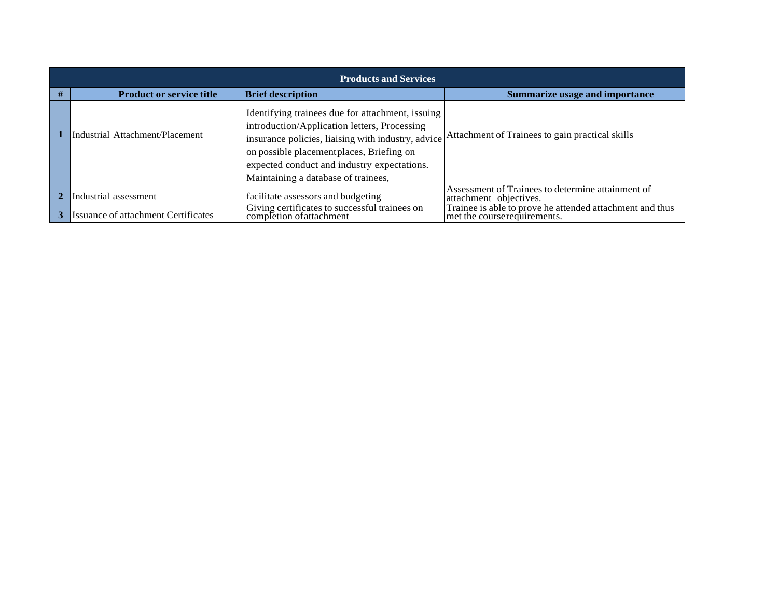| <b>Products and Services</b>               |                                                                                                                                                                                                                                                                                           |                                                                                         |  |  |  |
|--------------------------------------------|-------------------------------------------------------------------------------------------------------------------------------------------------------------------------------------------------------------------------------------------------------------------------------------------|-----------------------------------------------------------------------------------------|--|--|--|
| <b>Product or service title</b>            | <b>Brief description</b>                                                                                                                                                                                                                                                                  | <b>Summarize usage and importance</b>                                                   |  |  |  |
| Industrial Attachment/Placement            | Identifying trainees due for attachment, issuing<br>introduction/Application letters, Processing<br>insurance policies, liaising with industry, advice<br>on possible placement places, Briefing on<br>expected conduct and industry expectations.<br>Maintaining a database of trainees, | Attachment of Trainees to gain practical skills                                         |  |  |  |
| Industrial assessment                      | facilitate assessors and budgeting                                                                                                                                                                                                                                                        | Assessment of Trainees to determine attainment of<br>attachment objectives.             |  |  |  |
| <b>Issuance of attachment Certificates</b> | Giving certificates to successful trainees on<br>completion of attachment                                                                                                                                                                                                                 | Trainee is able to prove he attended attachment and thus<br>met the courserequirements. |  |  |  |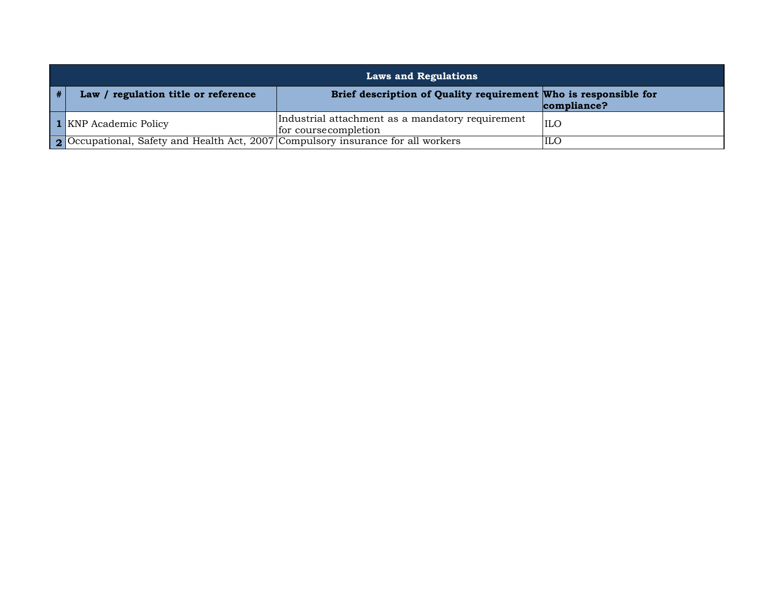| <b>Laws and Regulations</b>                                                      |                                                                           |             |  |  |
|----------------------------------------------------------------------------------|---------------------------------------------------------------------------|-------------|--|--|
| Law / regulation title or reference                                              | Brief description of Quality requirement Who is responsible for           | compliance? |  |  |
| <b>1</b> KNP Academic Policy                                                     | Industrial attachment as a mandatory requirement<br>for course completion | <b>ILO</b>  |  |  |
| 2 Occupational, Safety and Health Act, 2007 Compulsory insurance for all workers |                                                                           | ILO         |  |  |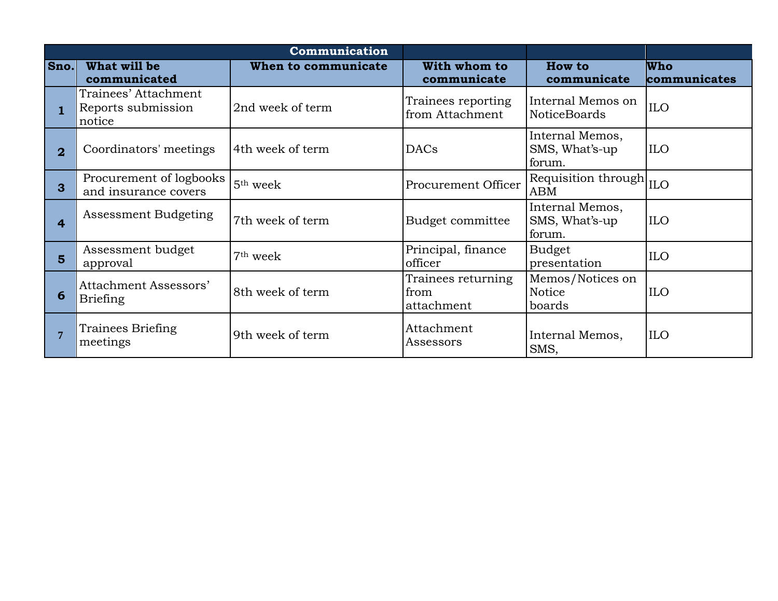|                |                                                      | Communication        |                                          |                                             |                            |
|----------------|------------------------------------------------------|----------------------|------------------------------------------|---------------------------------------------|----------------------------|
| Sno.           | What will be<br>communicated                         | When to communicate  | With whom to<br>communicate              | <b>How to</b><br>communicate                | <b>Who</b><br>communicates |
|                | Trainees' Attachment<br>Reports submission<br>notice | 2nd week of term     | Trainees reporting<br>from Attachment    | Internal Memos on<br><b>NoticeBoards</b>    | <b>ILO</b>                 |
| $\overline{2}$ | Coordinators' meetings                               | 4th week of term     | <b>DACs</b>                              | Internal Memos,<br>SMS, What's-up<br>forum. | <b>ILO</b>                 |
| $\mathbf{3}$   | Procurement of logbooks<br>and insurance covers      | 5 <sup>th</sup> week | Procurement Officer                      | Requisition through ILO<br><b>ABM</b>       |                            |
| 4              | Assessment Budgeting                                 | 7th week of term     | Budget committee                         | Internal Memos,<br>SMS, What's-up<br>forum. | <b>ILO</b>                 |
| 5              | Assessment budget<br>approval                        | 7 <sup>th</sup> week | Principal, finance<br>officer            | <b>Budget</b><br>presentation               | <b>ILO</b>                 |
| 6              | Attachment Assessors'<br><b>Briefing</b>             | 8th week of term     | Trainees returning<br>from<br>attachment | Memos/Notices on<br>Notice<br>boards        | <b>ILO</b>                 |
|                | Trainees Briefing<br>meetings                        | 9th week of term     | Attachment<br>Assessors                  | Internal Memos,<br>SMS,                     | <b>ILO</b>                 |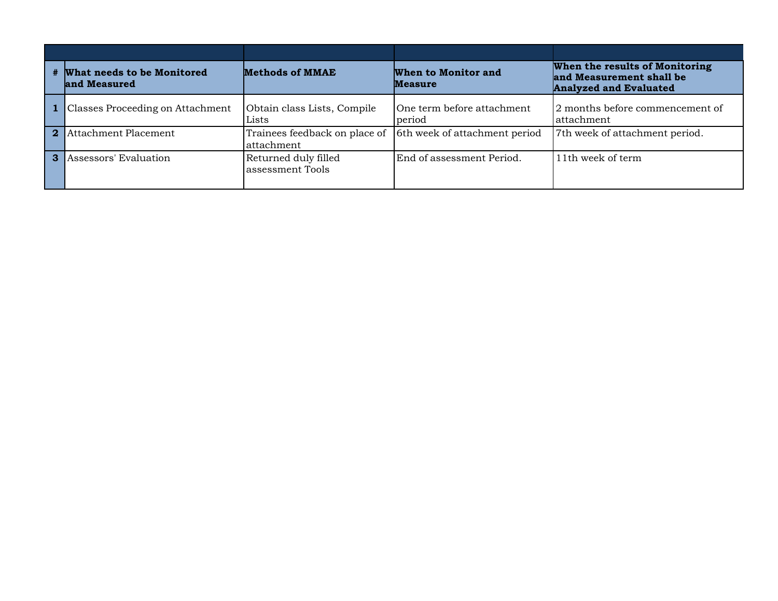|                | # What needs to be Monitored<br>and Measured | <b>Methods of MMAE</b>                      | When to Monitor and<br><b>Measure</b> | When the results of Monitoring<br>and Measurement shall be<br><b>Analyzed and Evaluated</b> |
|----------------|----------------------------------------------|---------------------------------------------|---------------------------------------|---------------------------------------------------------------------------------------------|
|                | Classes Proceeding on Attachment             | Obtain class Lists, Compile<br>Lists        | One term before attachment<br>period  | 2 months before commencement of<br>attachment                                               |
| 2 <sup>1</sup> | Attachment Placement                         | Trainees feedback on place of<br>attachment | 6th week of attachment period         | 7th week of attachment period.                                                              |
| $\mathbf{3}$   | Assessors' Evaluation                        | Returned duly filled<br>assessment Tools    | End of assessment Period.             | 11th week of term                                                                           |